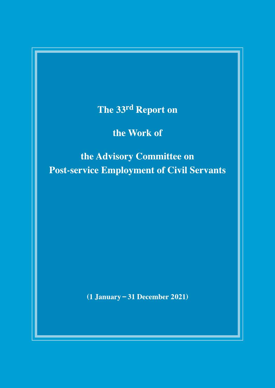The 33rd Report on

the Work of

the Advisory Committee on **Post-service Employment of Civil Servants** 

 $(1 January - 31 December 2021)$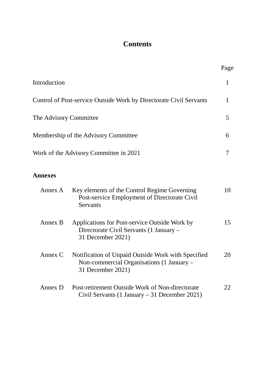# **Contents**

|                        |                                                                                                                      | Page         |
|------------------------|----------------------------------------------------------------------------------------------------------------------|--------------|
| Introduction           |                                                                                                                      | $\mathbf{1}$ |
|                        | Control of Post-service Outside Work by Directorate Civil Servants                                                   | $\mathbf{1}$ |
| The Advisory Committee |                                                                                                                      | 5            |
|                        | Membership of the Advisory Committee                                                                                 | 6            |
|                        | Work of the Advisory Committee in 2021                                                                               | 7            |
| <b>Annexes</b>         |                                                                                                                      |              |
| Annex A                | Key elements of the Control Regime Governing<br>Post-service Employment of Directorate Civil<br>Servants             | 10           |
| Annex B                | Applications for Post-service Outside Work by<br>Directorate Civil Servants (1 January –<br>31 December 2021)        | 15           |
| Annex $C$              | Notification of Unpaid Outside Work with Specified<br>Non-commercial Organisations (1 January –<br>31 December 2021) | 20           |
| Annex D                | Post-retirement Outside Work of Non-directorate<br>Civil Servants (1 January $-31$ December 2021)                    | 22           |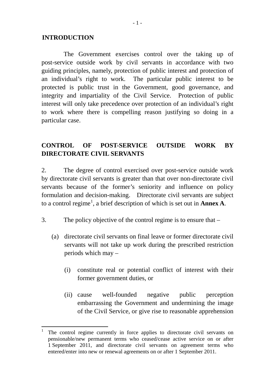#### **INTRODUCTION**

The Government exercises control over the taking up of post-service outside work by civil servants in accordance with two guiding principles, namely, protection of public interest and protection of an individual's right to work. The particular public interest to be protected is public trust in the Government, good governance, and integrity and impartiality of the Civil Service. Protection of public interest will only take precedence over protection of an individual's right to work where there is compelling reason justifying so doing in a particular case.

# **CONTROL OF POST-SERVICE OUTSIDE WORK BY DIRECTORATE CIVIL SERVANTS**

2. The degree of control exercised over post-service outside work by directorate civil servants is greater than that over non-directorate civil servants because of the former's seniority and influence on policy formulation and decision-making. Directorate civil servants are subject to a control regime[1](#page-2-0) , a brief description of which is set out in **Annex A**.

- 3. The policy objective of the control regime is to ensure that
	- (a) directorate civil servants on final leave or former directorate civil servants will not take up work during the prescribed restriction periods which may –
		- (i) constitute real or potential conflict of interest with their former government duties, or
		- (ii) cause well-founded negative public perception embarrassing the Government and undermining the image of the Civil Service, or give rise to reasonable apprehension

<span id="page-2-0"></span>The control regime currently in force applies to directorate civil servants on pensionable/new permanent terms who ceased/cease active service on or after 1 September 2011, and directorate civil servants on agreement terms who entered/enter into new or renewal agreements on or after 1 September 2011.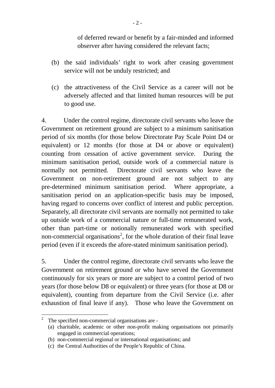of deferred reward or benefit by a fair-minded and informed observer after having considered the relevant facts;

- (b) the said individuals' right to work after ceasing government service will not be unduly restricted; and
- (c) the attractiveness of the Civil Service as a career will not be adversely affected and that limited human resources will be put to good use.

4. Under the control regime, directorate civil servants who leave the Government on retirement ground are subject to a minimum sanitisation period of six months (for those below Directorate Pay Scale Point D4 or equivalent) or 12 months (for those at D4 or above or equivalent) counting from cessation of active government service. During the minimum sanitisation period, outside work of a commercial nature is normally not permitted. Directorate civil servants who leave the Government on non-retirement ground are not subject to any pre-determined minimum sanitisation period. Where appropriate, a sanitisation period on an application-specific basis may be imposed, having regard to concerns over conflict of interest and public perception. Separately, all directorate civil servants are normally not permitted to take up outside work of a commercial nature or full-time remunerated work, other than part-time or notionally remunerated work with specified non-commercial organisations<sup>[2](#page-3-0)</sup>, for the whole duration of their final leave period (even if it exceeds the afore-stated minimum sanitisation period).

5. Under the control regime, directorate civil servants who leave the Government on retirement ground or who have served the Government continuously for six years or more are subject to a control period of two years (for those below D8 or equivalent) or three years (for those at D8 or equivalent), counting from departure from the Civil Service (i.e. after exhaustion of final leave if any). Those who leave the Government on

<span id="page-3-0"></span>The specified non-commercial organisations are -

<sup>(</sup>a) charitable, academic or other non-profit making organisations not primarily engaged in commercial operations;

<sup>(</sup>b) non-commercial regional or international organisations; and

<sup>(</sup>c) the Central Authorities of the People's Republic of China.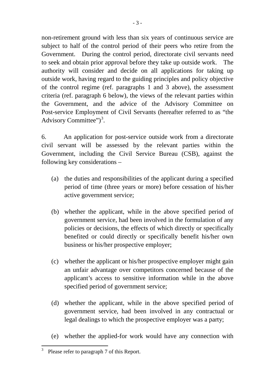non-retirement ground with less than six years of continuous service are subject to half of the control period of their peers who retire from the Government. During the control period, directorate civil servants need to seek and obtain prior approval before they take up outside work. The authority will consider and decide on all applications for taking up outside work, having regard to the guiding principles and policy objective of the control regime (ref. paragraphs 1 and 3 above), the assessment criteria (ref. paragraph 6 below), the views of the relevant parties within the Government, and the advice of the Advisory Committee on Post-service Employment of Civil Servants (hereafter referred to as "the Advisory Committee")<sup>[3](#page-4-0)</sup>.

6. An application for post-service outside work from a directorate civil servant will be assessed by the relevant parties within the Government, including the Civil Service Bureau (CSB), against the following key considerations –

- (a) the duties and responsibilities of the applicant during a specified period of time (three years or more) before cessation of his/her active government service;
- (b) whether the applicant, while in the above specified period of government service, had been involved in the formulation of any policies or decisions, the effects of which directly or specifically benefited or could directly or specifically benefit his/her own business or his/her prospective employer;
- (c) whether the applicant or his/her prospective employer might gain an unfair advantage over competitors concerned because of the applicant's access to sensitive information while in the above specified period of government service;
- (d) whether the applicant, while in the above specified period of government service, had been involved in any contractual or legal dealings to which the prospective employer was a party;
- (e) whether the applied-for work would have any connection with

<span id="page-4-0"></span><sup>&</sup>lt;sup>3</sup> Please refer to paragraph 7 of this Report.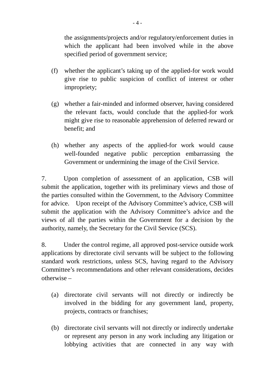the assignments/projects and/or regulatory/enforcement duties in which the applicant had been involved while in the above specified period of government service;

- (f) whether the applicant's taking up of the applied-for work would give rise to public suspicion of conflict of interest or other impropriety;
- (g) whether a fair-minded and informed observer, having considered the relevant facts, would conclude that the applied-for work might give rise to reasonable apprehension of deferred reward or benefit; and
- (h) whether any aspects of the applied-for work would cause well-founded negative public perception embarrassing the Government or undermining the image of the Civil Service.

7. Upon completion of assessment of an application, CSB will submit the application, together with its preliminary views and those of the parties consulted within the Government, to the Advisory Committee for advice. Upon receipt of the Advisory Committee's advice, CSB will submit the application with the Advisory Committee's advice and the views of all the parties within the Government for a decision by the authority, namely, the Secretary for the Civil Service (SCS).

8. Under the control regime, all approved post-service outside work applications by directorate civil servants will be subject to the following standard work restrictions, unless SCS, having regard to the Advisory Committee's recommendations and other relevant considerations, decides otherwise –

- (a) directorate civil servants will not directly or indirectly be involved in the bidding for any government land, property, projects, contracts or franchises;
- (b) directorate civil servants will not directly or indirectly undertake or represent any person in any work including any litigation or lobbying activities that are connected in any way with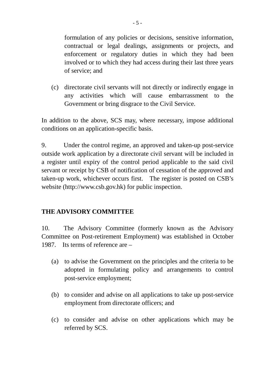formulation of any policies or decisions, sensitive information, contractual or legal dealings, assignments or projects, and enforcement or regulatory duties in which they had been involved or to which they had access during their last three years of service; and

(c) directorate civil servants will not directly or indirectly engage in any activities which will cause embarrassment to the Government or bring disgrace to the Civil Service.

In addition to the above, SCS may, where necessary, impose additional conditions on an application-specific basis.

9. Under the control regime, an approved and taken-up post-service outside work application by a directorate civil servant will be included in a register until expiry of the control period applicable to the said civil servant or receipt by CSB of notification of cessation of the approved and taken-up work, whichever occurs first. The register is posted on CSB's website [\(http://www.csb.gov.hk\)](http://www.csb.gov.hk/) for public inspection.

## **THE ADVISORY COMMITTEE**

10. The Advisory Committee (formerly known as the Advisory Committee on Post-retirement Employment) was established in October 1987. Its terms of reference are –

- (a) to advise the Government on the principles and the criteria to be adopted in formulating policy and arrangements to control post-service employment;
- (b) to consider and advise on all applications to take up post-service employment from directorate officers; and
- (c) to consider and advise on other applications which may be referred by SCS.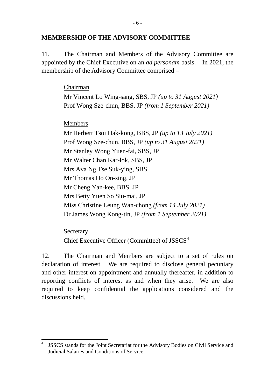## **MEMBERSHIP OF THE ADVISORY COMMITTEE**

11. The Chairman and Members of the Advisory Committee are appointed by the Chief Executive on an *ad personam* basis. In 2021, the membership of the Advisory Committee comprised –

Chairman

Mr Vincent Lo Wing-sang, SBS, JP *(up to 31 August 2021)* Prof Wong Sze-chun, BBS, JP *(from 1 September 2021)*

Members

Mr Herbert Tsoi Hak-kong, BBS, JP *(up to 13 July 2021)* Prof Wong Sze-chun, BBS, JP *(up to 31 August 2021)* Mr Stanley Wong Yuen-fai, SBS, JP Mr Walter Chan Kar-lok, SBS, JP Mrs Ava Ng Tse Suk-ying, SBS Mr Thomas Ho On-sing, JP Mr Cheng Yan-kee, BBS, JP Mrs Betty Yuen So Siu-mai, JP Miss Christine Leung Wan-chong *(from 14 July 2021)* Dr James Wong Kong-tin, JP *(from 1 September 2021)*

**Secretary** Chief Executive Officer (Committee) of JSSCS<sup>[4](#page-7-0)</sup>

12. The Chairman and Members are subject to a set of rules on declaration of interest. We are required to disclose general pecuniary and other interest on appointment and annually thereafter, in addition to reporting conflicts of interest as and when they arise. We are also required to keep confidential the applications considered and the discussions held.

<span id="page-7-0"></span><sup>&</sup>lt;sup>4</sup> JSSCS stands for the Joint Secretariat for the Advisory Bodies on Civil Service and Judicial Salaries and Conditions of Service.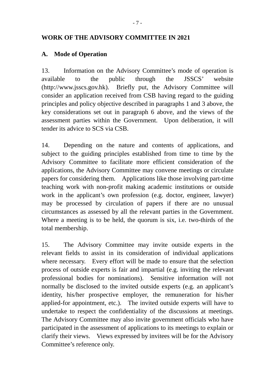## **WORK OF THE ADVISORY COMMITTEE IN 2021**

## **A. Mode of Operation**

13. Information on the Advisory Committee's mode of operation is available to the public through the JSSCS' website [\(http://www.jsscs.gov.hk\)](http://www.jsscs.gov.hk/). Briefly put, the Advisory Committee will consider an application received from CSB having regard to the guiding principles and policy objective described in paragraphs 1 and 3 above, the key considerations set out in paragraph 6 above, and the views of the assessment parties within the Government. Upon deliberation, it will tender its advice to SCS via CSB.

14. Depending on the nature and contents of applications, and subject to the guiding principles established from time to time by the Advisory Committee to facilitate more efficient consideration of the applications, the Advisory Committee may convene meetings or circulate papers for considering them. Applications like those involving part-time teaching work with non-profit making academic institutions or outside work in the applicant's own profession (e.g. doctor, engineer, lawyer) may be processed by circulation of papers if there are no unusual circumstances as assessed by all the relevant parties in the Government. Where a meeting is to be held, the quorum is six, i.e. two-thirds of the total membership.

15. The Advisory Committee may invite outside experts in the relevant fields to assist in its consideration of individual applications where necessary. Every effort will be made to ensure that the selection process of outside experts is fair and impartial (e.g. inviting the relevant professional bodies for nominations). Sensitive information will not normally be disclosed to the invited outside experts (e.g. an applicant's identity, his/her prospective employer, the remuneration for his/her applied-for appointment, etc.). The invited outside experts will have to undertake to respect the confidentiality of the discussions at meetings. The Advisory Committee may also invite government officials who have participated in the assessment of applications to its meetings to explain or clarify their views. Views expressed by invitees will be for the Advisory Committee's reference only.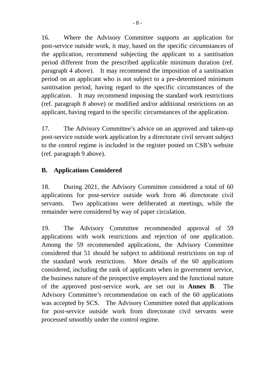16. Where the Advisory Committee supports an application for post-service outside work, it may, based on the specific circumstances of the application, recommend subjecting the applicant to a sanitisation period different from the prescribed applicable minimum duration (ref. paragraph 4 above). It may recommend the imposition of a sanitisation period on an applicant who is not subject to a pre-determined minimum sanitisation period, having regard to the specific circumstances of the application. It may recommend imposing the standard work restrictions (ref. paragraph 8 above) or modified and/or additional restrictions on an applicant, having regard to the specific circumstances of the application.

17. The Advisory Committee's advice on an approved and taken-up post-service outside work application by a directorate civil servant subject to the control regime is included in the register posted on CSB's website (ref. paragraph 9 above).

## **B. Applications Considered**

18. During 2021, the Advisory Committee considered a total of 60 applications for post-service outside work from 46 directorate civil servants. Two applications were deliberated at meetings, while the remainder were considered by way of paper circulation.

19. The Advisory Committee recommended approval of 59 applications with work restrictions and rejection of one application. Among the 59 recommended applications, the Advisory Committee considered that 51 should be subject to additional restrictions on top of the standard work restrictions. More details of the 60 applications considered, including the rank of applicants when in government service, the business nature of the prospective employers and the functional nature of the approved post-service work, are set out in **Annex B**. The Advisory Committee's recommendation on each of the 60 applications was accepted by SCS. The Advisory Committee noted that applications for post-service outside work from directorate civil servants were processed smoothly under the control regime.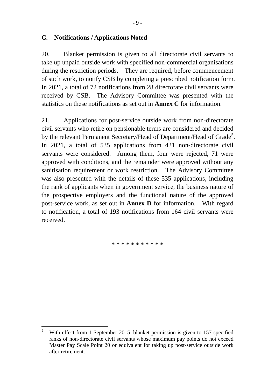## **C. Notifications / Applications Noted**

20. Blanket permission is given to all directorate civil servants to take up unpaid outside work with specified non-commercial organisations during the restriction periods. They are required, before commencement of such work, to notify CSB by completing a prescribed notification form. In 2021, a total of 72 notifications from 28 directorate civil servants were received by CSB. The Advisory Committee was presented with the statistics on these notifications as set out in **Annex C** for information.

21. Applications for post-service outside work from non-directorate civil servants who retire on pensionable terms are considered and decided by the relevant Permanent Secretary/Head of Department/Head of Grade<sup>[5](#page-10-0)</sup>. In 2021, a total of 535 applications from 421 non-directorate civil servants were considered. Among them, four were rejected, 71 were approved with conditions, and the remainder were approved without any sanitisation requirement or work restriction. The Advisory Committee was also presented with the details of these 535 applications, including the rank of applicants when in government service, the business nature of the prospective employers and the functional nature of the approved post-service work, as set out in **Annex D** for information. With regard to notification, a total of 193 notifications from 164 civil servants were received.

\* \* \* \* \* \* \* \* \* \* \*

<span id="page-10-0"></span><sup>5</sup> With effect from 1 September 2015, blanket permission is given to 157 specified ranks of non-directorate civil servants whose maximum pay points do not exceed Master Pay Scale Point 20 or equivalent for taking up post-service outside work after retirement.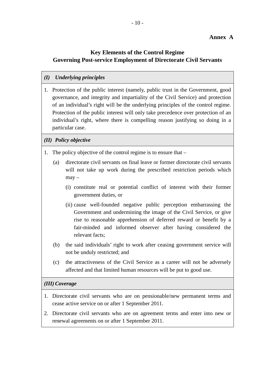#### **Annex A**

#### **Key Elements of the Control Regime Governing Post-service Employment of Directorate Civil Servants**

#### *(I) Underlying principles*

1. Protection of the public interest (namely, public trust in the Government, good governance, and integrity and impartiality of the Civil Service) and protection of an individual's right will be the underlying principles of the control regime. Protection of the public interest will only take precedence over protection of an individual's right, where there is compelling reason justifying so doing in a particular case.

#### *(II) Policy objective*

- 1. The policy objective of the control regime is to ensure that
	- (a) directorate civil servants on final leave or former directorate civil servants will not take up work during the prescribed restriction periods which  $may -$ 
		- (i) constitute real or potential conflict of interest with their former government duties, or
		- (ii) cause well-founded negative public perception embarrassing the Government and undermining the image of the Civil Service, or give rise to reasonable apprehension of deferred reward or benefit by a fair-minded and informed observer after having considered the relevant facts;
	- (b) the said individuals' right to work after ceasing government service will not be unduly restricted; and
	- (c) the attractiveness of the Civil Service as a career will not be adversely affected and that limited human resources will be put to good use.

#### *(III) Coverage*

- 1. Directorate civil servants who are on pensionable/new permanent terms and cease active service on or after 1 September 2011.
- 2. Directorate civil servants who are on agreement terms and enter into new or renewal agreements on or after 1 September 2011.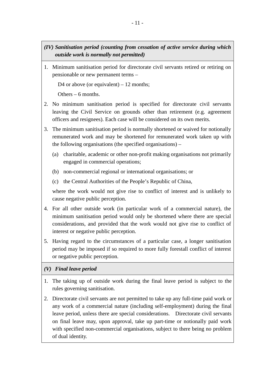- *(IV) Sanitisation period (counting from cessation of active service during which outside work is normally not permitted)*
- 1. Minimum sanitisation period for directorate civil servants retired or retiring on pensionable or new permanent terms –

D4 or above (or equivalent)  $-12$  months;

Others – 6 months.

- 2. No minimum sanitisation period is specified for directorate civil servants leaving the Civil Service on grounds other than retirement (e.g. agreement officers and resignees). Each case will be considered on its own merits.
- 3. The minimum sanitisation period is normally shortened or waived for notionally remunerated work and may be shortened for remunerated work taken up with the following organisations (the specified organisations) –
	- (a) charitable, academic or other non-profit making organisations not primarily engaged in commercial operations;
	- (b) non-commercial regional or international organisations; or
	- (c) the Central Authorities of the People's Republic of China,

where the work would not give rise to conflict of interest and is unlikely to cause negative public perception.

- 4. For all other outside work (in particular work of a commercial nature), the minimum sanitisation period would only be shortened where there are special considerations, and provided that the work would not give rise to conflict of interest or negative public perception.
- 5. Having regard to the circumstances of a particular case, a longer sanitisation period may be imposed if so required to more fully forestall conflict of interest or negative public perception.

#### *(V) Final leave period*

- 1. The taking up of outside work during the final leave period is subject to the rules governing sanitisation.
- 2. Directorate civil servants are not permitted to take up any full-time paid work or any work of a commercial nature (including self-employment) during the final leave period, unless there are special considerations. Directorate civil servants on final leave may, upon approval, take up part-time or notionally paid work with specified non-commercial organisations, subject to there being no problem of dual identity.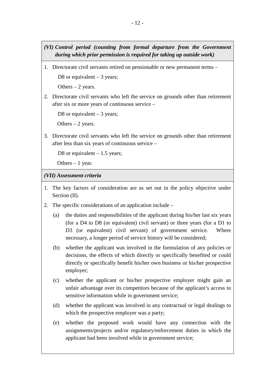- *(VI) Control period (counting from formal departure from the Government during which prior permission is required for taking up outside work)*
- 1. Directorate civil servants retired on pensionable or new permanent terms –

D8 or equivalent  $-3$  years;

Others  $-2$  years.

2. Directorate civil servants who left the service on grounds other than retirement after six or more years of continuous service –

D8 or equivalent  $-3$  years;

Others  $-2$  years.

3. Directorate civil servants who left the service on grounds other than retirement after less than six years of continuous service –

D8 or equivalent  $-1.5$  years;

Others  $-1$  year.

#### *(VII) Assessment criteria*

- 1. The key factors of consideration are as set out in the policy objective under Section (II).
- 2. The specific considerations of an application include
	- (a) the duties and responsibilities of the applicant during his/her last six years (for a D4 to D8 (or equivalent) civil servant) or three years (for a D1 to D3 (or equivalent) civil servant) of government service. Where necessary, a longer period of service history will be considered;
	- (b) whether the applicant was involved in the formulation of any policies or decisions, the effects of which directly or specifically benefited or could directly or specifically benefit his/her own business or his/her prospective employer;
	- (c) whether the applicant or his/her prospective employer might gain an unfair advantage over its competitors because of the applicant's access to sensitive information while in government service;
	- (d) whether the applicant was involved in any contractual or legal dealings to which the prospective employer was a party;
	- (e) whether the proposed work would have any connection with the assignments/projects and/or regulatory/enforcement duties in which the applicant had been involved while in government service;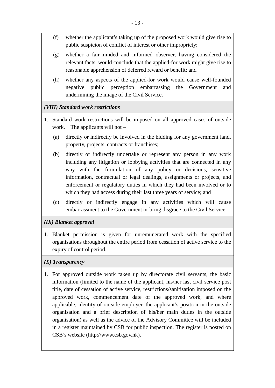- (f) whether the applicant's taking up of the proposed work would give rise to public suspicion of conflict of interest or other impropriety;
- (g) whether a fair-minded and informed observer, having considered the relevant facts, would conclude that the applied-for work might give rise to reasonable apprehension of deferred reward or benefit; and
- (h) whether any aspects of the applied-for work would cause well-founded negative public perception embarrassing the Government and undermining the image of the Civil Service.

#### *(VIII) Standard work restrictions*

- 1. Standard work restrictions will be imposed on all approved cases of outside work. The applicants will not –
	- (a) directly or indirectly be involved in the bidding for any government land, property, projects, contracts or franchises;
	- (b) directly or indirectly undertake or represent any person in any work including any litigation or lobbying activities that are connected in any way with the formulation of any policy or decisions, sensitive information, contractual or legal dealings, assignments or projects, and enforcement or regulatory duties in which they had been involved or to which they had access during their last three years of service; and
	- (c) directly or indirectly engage in any activities which will cause embarrassment to the Government or bring disgrace to the Civil Service.

#### *(IX) Blanket approval*

1. Blanket permission is given for unremunerated work with the specified organisations throughout the entire period from cessation of active service to the expiry of control period.

#### *(X) Transparency*

1. For approved outside work taken up by directorate civil servants, the basic information (limited to the name of the applicant, his/her last civil service post title, date of cessation of active service, restrictions/sanitisation imposed on the approved work, commencement date of the approved work, and where applicable, identity of outside employer, the applicant's position in the outside organisation and a brief description of his/her main duties in the outside organisation) as well as the advice of the Advisory Committee will be included in a register maintained by CSB for public inspection. The register is posted on CSB's website (http://www.csb.gov.hk).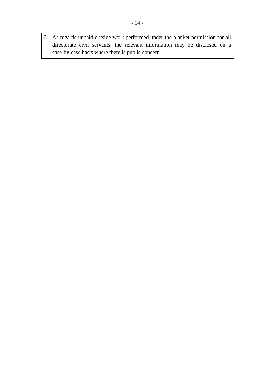2. As regards unpaid outside work performed under the blanket permission for all directorate civil servants, the relevant information may be disclosed on a case-by-case basis where there is public concern.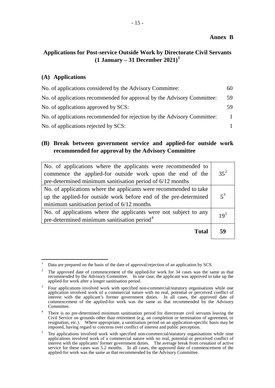#### **Annex B**

## **Applications for Post-service Outside Work by Directorate Civil Servants (1 January – 31 December 2021)[1](#page-16-0)**

#### **(A) Applications**

| No. of applications considered by the Advisory Committee:                | 60 |
|--------------------------------------------------------------------------|----|
| No. of applications recommended for approval by the Advisory Committee:  | 59 |
| No. of applications approved by SCS:                                     | 59 |
| No. of applications recommended for rejection by the Advisory Committee: |    |
| No. of applications rejected by SCS:                                     |    |

### **(B) Break between government service and applied-for outside work recommended for approval by the Advisory Committee**

| No. of applications where the applicants were recommended to<br>commence the applied-for outside work upon the end of the<br>pre-determined minimum sanitisation period of 6/12 months | $35^2$          |
|----------------------------------------------------------------------------------------------------------------------------------------------------------------------------------------|-----------------|
| No. of applications where the applicants were recommended to take<br>up the applied-for outside work before end of the pre-determined<br>minimum sanitisation period of $6/12$ months  | $5^3$           |
| No. of applications where the applicants were not subject to any<br>pre-determined minimum sanitisation period <sup>4</sup>                                                            | 19 <sup>5</sup> |
| <b>Total</b>                                                                                                                                                                           | 59              |

<span id="page-16-0"></span>Data are prepared on the basis of the date of approval/rejection of an application by SCS.

<span id="page-16-1"></span>The approved date of commencement of the applied-for work for 34 cases was the same as that recommended by the Advisory Committee. In one case, the applicant was approved to take up the applied-for work after a longer sanitisation period.

<span id="page-16-2"></span><sup>3</sup> Four applications involved work with specified non-commercial/statutory organisations while one application involved work of a commercial nature with no real, potential or perceived conflict of interest with the applicant's former government duties. In all cases, the approved date of commencement of the applied-for work was the same as that recommended by the Advisory Committee.

<span id="page-16-3"></span>There is no pre-determined minimum sanitisation period for directorate civil servants leaving the Civil Service on grounds other than retirement (e.g. on completion or termination of agreement, or resignation, etc.). Where appropriate, a sanitisation period on an application-specific basis may be imposed, having regard to concerns over conflict of interest and public perception.

<span id="page-16-4"></span><sup>5</sup> Ten applications involved work with specified non-commercial/statutory organisations while nine applications involved work of a commercial nature with no real, potential or perceived conflict of interest with the applicants' former government duties. The average break from cessation of active service for these cases was 5.2 months. In all cases, the approved date of commencement of the applied-for work was the same as that recommended by the Advisory Committee.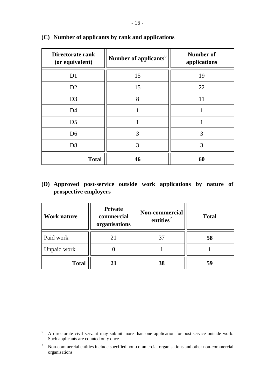| Directorate rank<br>(or equivalent) | Number of applicants <sup>6</sup> | <b>Number of</b><br>applications |
|-------------------------------------|-----------------------------------|----------------------------------|
| D <sub>1</sub>                      | 15                                | 19                               |
| D2                                  | 15                                | 22                               |
| D <sub>3</sub>                      | 8                                 | 11                               |
| D <sub>4</sub>                      |                                   |                                  |
| D <sub>5</sub>                      |                                   |                                  |
| D <sub>6</sub>                      | 3                                 | 3                                |
| D <sub>8</sub>                      | 3                                 | 3                                |
| <b>Total</b>                        | 46                                | 60                               |

#### **(C) Number of applicants by rank and applications**

## **(D) Approved post-service outside work applications by nature of prospective employers**

| <b>Work nature</b> | <b>Private</b><br>commercial<br>organisations | Non-commercial<br>entities <sup>7</sup> | <b>Total</b> |
|--------------------|-----------------------------------------------|-----------------------------------------|--------------|
| Paid work          | 21                                            |                                         | 58           |
| Unpaid work        |                                               |                                         |              |
| <b>Total</b>       |                                               | 38                                      |              |

<span id="page-17-0"></span><sup>&</sup>lt;sup>6</sup> A directorate civil servant may submit more than one application for post-service outside work. Such applicants are counted only once.

<span id="page-17-1"></span><sup>7</sup> Non-commercial entities include specified non-commercial organisations and other non-commercial organisations.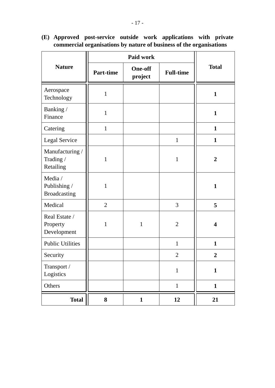| <b>Nature</b>                                  | <b>Part-time</b> | <b>One-off</b><br>project | <b>Full-time</b> | <b>Total</b>            |
|------------------------------------------------|------------------|---------------------------|------------------|-------------------------|
| Aerospace<br>Technology                        | $\mathbf{1}$     |                           |                  | $\mathbf{1}$            |
| Banking /<br>Finance                           | $\mathbf{1}$     |                           |                  | $\mathbf{1}$            |
| Catering                                       | $\mathbf{1}$     |                           |                  | $\mathbf{1}$            |
| Legal Service                                  |                  |                           | $\mathbf{1}$     | $\mathbf{1}$            |
| Manufacturing /<br>Trading /<br>Retailing      | 1                |                           | $\mathbf{1}$     | $\overline{2}$          |
| Media /<br>Publishing /<br><b>Broadcasting</b> | $\mathbf{1}$     |                           |                  | $\mathbf{1}$            |
| Medical                                        | $\overline{2}$   |                           | 3                | 5                       |
| Real Estate /<br>Property<br>Development       | $\mathbf{1}$     | $\mathbf{1}$              | $\overline{2}$   | $\overline{\mathbf{4}}$ |
| <b>Public Utilities</b>                        |                  |                           | $\mathbf{1}$     | $\mathbf{1}$            |
| Security                                       |                  |                           | $\mathbf 2$      | $\overline{2}$          |
| Transport /<br>Logistics                       |                  |                           | $\mathbf{1}$     | $\mathbf{1}$            |
| Others                                         |                  |                           | $\mathbf{1}$     | $\mathbf{1}$            |
| <b>Total</b>                                   | 8                | $\mathbf{1}$              | 12               | 21                      |

**(E) Approved post-service outside work applications with private commercial organisations by nature of business of the organisations**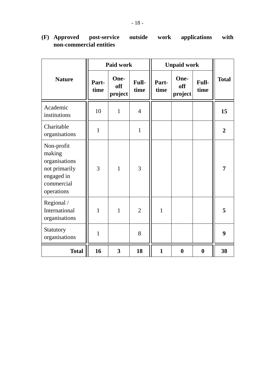|                                                                                                  | Paid work     |                        | <b>Unpaid work</b> |               |                        |                  |                |
|--------------------------------------------------------------------------------------------------|---------------|------------------------|--------------------|---------------|------------------------|------------------|----------------|
| <b>Nature</b>                                                                                    | Part-<br>time | One-<br>off<br>project | Full-<br>time      | Part-<br>time | One-<br>off<br>project | Full-<br>time    | <b>Total</b>   |
| Academic<br>institutions                                                                         | 10            | $\mathbf{1}$           | $\overline{4}$     |               |                        |                  | 15             |
| Charitable<br>organisations                                                                      | $\mathbf{1}$  |                        | $\mathbf{1}$       |               |                        |                  | $\overline{2}$ |
| Non-profit<br>making<br>organisations<br>not primarily<br>engaged in<br>commercial<br>operations | 3             | $\mathbf{1}$           | 3                  |               |                        |                  | 7              |
| Regional /<br>International<br>organisations                                                     | 1             | $\mathbf{1}$           | $\overline{2}$     | $\mathbf{1}$  |                        |                  | 5              |
| Statutory<br>organisations                                                                       | $\mathbf{1}$  |                        | 8                  |               |                        |                  | 9              |
| <b>Total</b>                                                                                     | 16            | 3                      | 18                 | $\mathbf{1}$  | $\boldsymbol{0}$       | $\boldsymbol{0}$ | 38             |

# **(F) Approved post-service outside work applications with non-commercial entities**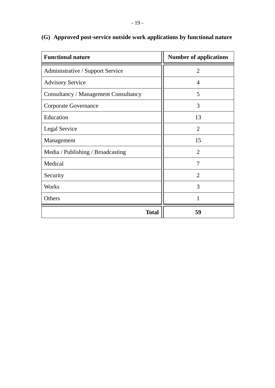| <b>Functional nature</b>                    | <b>Number of applications</b> |
|---------------------------------------------|-------------------------------|
| Administrative / Support Service            | $\overline{2}$                |
| <b>Advisory Service</b>                     | 4                             |
| <b>Consultancy / Management Consultancy</b> | 5                             |
| <b>Corporate Governance</b>                 | 3                             |
| Education                                   | 13                            |
| Legal Service                               | $\overline{2}$                |
| Management                                  | 15                            |
| Media / Publishing / Broadcasting           | $\overline{2}$                |
| Medical                                     | 7                             |
| Security                                    | $\overline{2}$                |
| Works                                       | 3                             |
| Others                                      |                               |
| <b>Total</b>                                | 59                            |

# **(G) Approved post-service outside work applications by functional nature**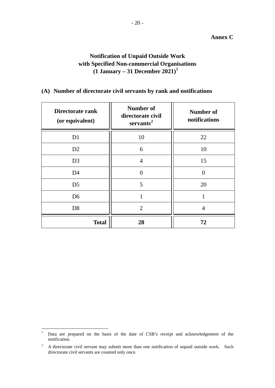## **Notification of Unpaid Outside Work with Specified Non-commercial Organisations (1 January – 31 December 2021)[1](#page-21-0)**

## **(A) Number of directorate civil servants by rank and notifications**

| Directorate rank<br>(or equivalent) | <b>Number of</b><br>directorate civil<br>servants <sup>2</sup> | <b>Number of</b><br>notifications |
|-------------------------------------|----------------------------------------------------------------|-----------------------------------|
| D <sub>1</sub>                      | 10                                                             | 22                                |
| D2                                  | 6                                                              | 10                                |
| D <sub>3</sub>                      | $\overline{4}$                                                 | 15                                |
| D <sub>4</sub>                      | $\theta$                                                       |                                   |
| D <sub>5</sub>                      | 5                                                              | 20                                |
| D <sub>6</sub>                      | 1                                                              |                                   |
| D <sub>8</sub>                      | $\overline{2}$                                                 | $\overline{4}$                    |
| <b>Total</b>                        | 28                                                             | 72                                |

<span id="page-21-0"></span><sup>1</sup> Data are prepared on the basis of the date of CSB's receipt and acknowledgement of the notification.

<span id="page-21-1"></span><sup>&</sup>lt;sup>2</sup> A directorate civil servant may submit more than one notification of unpaid outside work. Such directorate civil servants are counted only once.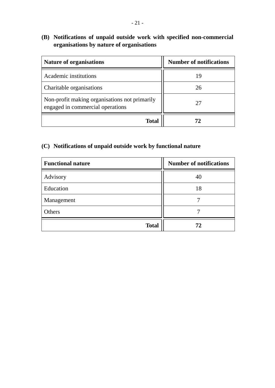# **(B) Notifications of unpaid outside work with specified non-commercial organisations by nature of organisations**

| <b>Nature of organisations</b>                                                    | <b>Number of notifications</b> |
|-----------------------------------------------------------------------------------|--------------------------------|
| Academic institutions                                                             | 19                             |
| Charitable organisations                                                          | 26                             |
| Non-profit making organisations not primarily<br>engaged in commercial operations | 27                             |
| Total                                                                             |                                |

# **(C) Notifications of unpaid outside work by functional nature**

| <b>Functional nature</b> | <b>Number of notifications</b> |
|--------------------------|--------------------------------|
| Advisory                 | 40                             |
| Education                | 18                             |
| Management               |                                |
| Others                   |                                |
| <b>Total</b>             | 72                             |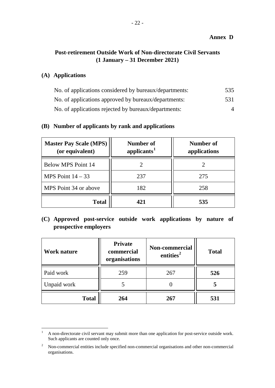#### **Annex D**

## **Post-retirement Outside Work of Non-directorate Civil Servants (1 January – 31 December 2021)**

## **(A) Applications**

| No. of applications considered by bureaux/departments: | 535      |
|--------------------------------------------------------|----------|
| No. of applications approved by bureaux/departments:   | 531      |
| No. of applications rejected by bureaux/departments:   | $\Delta$ |

#### **(B) Number of applicants by rank and applications**

| <b>Master Pay Scale (MPS)</b><br>(or equivalent) | Number of<br>applicants <sup>1</sup> | Number of<br>applications |
|--------------------------------------------------|--------------------------------------|---------------------------|
| <b>Below MPS Point 14</b>                        |                                      |                           |
| MPS Point $14 - 33$                              | 237                                  | 275                       |
| MPS Point 34 or above                            | 182                                  | 258                       |
| <b>Total</b>                                     | 421                                  | 535                       |

## **(C) Approved post-service outside work applications by nature of prospective employers**

| <b>Work nature</b> | <b>Private</b><br>commercial<br>organisations | Non-commercial<br>entities <sup>2</sup> | <b>Total</b> |
|--------------------|-----------------------------------------------|-----------------------------------------|--------------|
| Paid work          | 259                                           | 267                                     | 526          |
| Unpaid work        |                                               |                                         |              |
| <b>Total</b>       | 264                                           | 267                                     | 531          |

<span id="page-23-0"></span><sup>&</sup>lt;sup>1</sup> A non-directorate civil servant may submit more than one application for post-service outside work. Such applicants are counted only once.

<span id="page-23-1"></span><sup>&</sup>lt;sup>2</sup> Non-commercial entities include specified non-commercial organisations and other non-commercial organisations.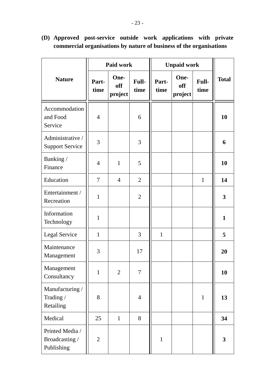|                                                 | <b>Paid work</b> |                        | <b>Unpaid work</b> |               |                        |               |                         |
|-------------------------------------------------|------------------|------------------------|--------------------|---------------|------------------------|---------------|-------------------------|
| <b>Nature</b>                                   | Part-<br>time    | One-<br>off<br>project | Full-<br>time      | Part-<br>time | One-<br>off<br>project | Full-<br>time | <b>Total</b>            |
| Accommodation<br>and Food<br>Service            | 4                |                        | 6                  |               |                        |               | 10                      |
| Administrative /<br><b>Support Service</b>      | 3                |                        | 3                  |               |                        |               | 6                       |
| Banking/<br>Finance                             | $\overline{4}$   | $\mathbf{1}$           | 5                  |               |                        |               | 10                      |
| Education                                       | $\tau$           | $\overline{4}$         | $\overline{2}$     |               |                        | $\mathbf{1}$  | 14                      |
| Entertainment /<br>Recreation                   | $\mathbf{1}$     |                        | $\overline{2}$     |               |                        |               | 3                       |
| Information<br>Technology                       | $\mathbf{1}$     |                        |                    |               |                        |               | $\mathbf{1}$            |
| Legal Service                                   | $\mathbf{1}$     |                        | 3                  | $\mathbf{1}$  |                        |               | 5                       |
| Maintenance<br>Management                       | 3                |                        | 17                 |               |                        |               | 20                      |
| Management<br>Consultancy                       | $\mathbf{1}$     | $\overline{2}$         | $\overline{7}$     |               |                        |               | 10                      |
| Manufacturing /<br>Trading /<br>Retailing       | 8                |                        | $\overline{4}$     |               |                        | $\mathbf{1}$  | 13                      |
| Medical                                         | 25               | $\mathbf{1}$           | 8                  |               |                        |               | 34                      |
| Printed Media /<br>Broadcasting /<br>Publishing | $\overline{2}$   |                        |                    | $\mathbf{1}$  |                        |               | $\overline{\mathbf{3}}$ |

**(D) Approved post-service outside work applications with private commercial organisations by nature of business of the organisations**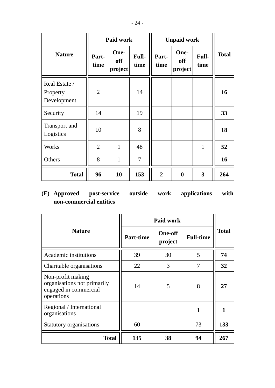|                                          | <b>Paid work</b> |                        |                | <b>Unpaid work</b> |                        |               |              |
|------------------------------------------|------------------|------------------------|----------------|--------------------|------------------------|---------------|--------------|
| <b>Nature</b>                            | Part-<br>time    | One-<br>off<br>project | Full-<br>time  | Part-<br>time      | One-<br>off<br>project | Full-<br>time | <b>Total</b> |
| Real Estate /<br>Property<br>Development | $\overline{2}$   |                        | 14             |                    |                        |               | 16           |
| Security                                 | 14               |                        | 19             |                    |                        |               | 33           |
| Transport and<br>Logistics               | 10               |                        | 8              |                    |                        |               | 18           |
| <b>Works</b>                             | $\overline{2}$   | $\mathbf{1}$           | 48             |                    |                        | $\mathbf{1}$  | 52           |
| Others                                   | 8                | $\mathbf{1}$           | $\overline{7}$ |                    |                        |               | 16           |
| <b>Total</b>                             | 96               | 10                     | 153            | $\overline{2}$     | $\boldsymbol{0}$       | 3             | 264          |

# **(E) Approved post-service outside work applications with non-commercial entities**

|                                                                                         | Paid work        |                           |                  |              |
|-----------------------------------------------------------------------------------------|------------------|---------------------------|------------------|--------------|
| <b>Nature</b>                                                                           | <b>Part-time</b> | <b>One-off</b><br>project | <b>Full-time</b> | <b>Total</b> |
| Academic institutions                                                                   | 39               | 30                        | 5                | 74           |
| Charitable organisations                                                                | 22               | 3                         | 7                | 32           |
| Non-profit making<br>organisations not primarily<br>engaged in commercial<br>operations | 14               | 5                         | 8                | 27           |
| Regional / International<br>organisations                                               |                  |                           |                  |              |
| Statutory organisations                                                                 | 60               |                           | 73               | 133          |
| <b>Total</b>                                                                            | 135              | 38                        | 94               | 267          |